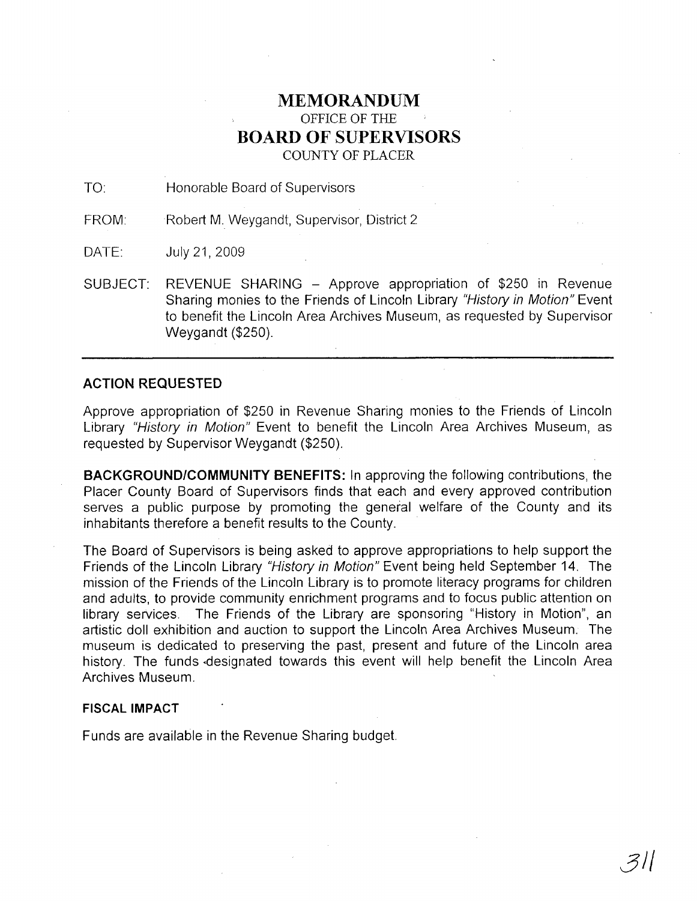## **MEMORANDUM** OFFICE OF THE **BOARD OF SUPERVISORS** COUNTY OF PLACER

TO: Honorable Board of Supervisors

FROM: Robert M. Weygandt, Supervisor, District 2

DATE: July21,2009

SUBJECT: REVENUE SHARING - Approve appropriation of \$250 in Revenue Sharing monies to the Friends of Lincoln Library "History in Motion" Event to benefit the Lincoln Area Archives Museum, as requested by Supervisor Weygandt (\$250).

### **ACTION REQUESTED**

Approve appropriation of \$250 in Revenue Sharing monies to the Friends of Lincoln Library "History in Motion" Event to benefit the Lincoln Area Archives Museum, as requested by Supervisor Weygandt (\$250).

**BACKGROUND/COMMUNITY BENEFITS:** In approving the following contributions, the Placer County Board of Supervisors finds that each and every approved contribution serves a public purpose by promoting the general welfare of the County and its inhabitants therefore a benefit results to the County. .

The Board of Supervisors is being asked to approve appropriations to help support the Friends of the Lincoln Library "History in Motion" Event being held September 14. The mission of the Friends of the Lincoln Library is to promote literacy programs for children and adults, to provide community enrichment programs and to focus public attention on library services. The Friends of the Library are sponsoring "History in Motion", an artistic doll exhibition and auction to support the Lincoln Area Archives Museum. The museum is dedicated to preserving the past, present and future of the Lincoln area history. The funds designated towards this event will help benefit the Lincoln Area Archives Museum.

#### **FISCAL IMPACT**

Funds are available in the Revenue Sharing budget.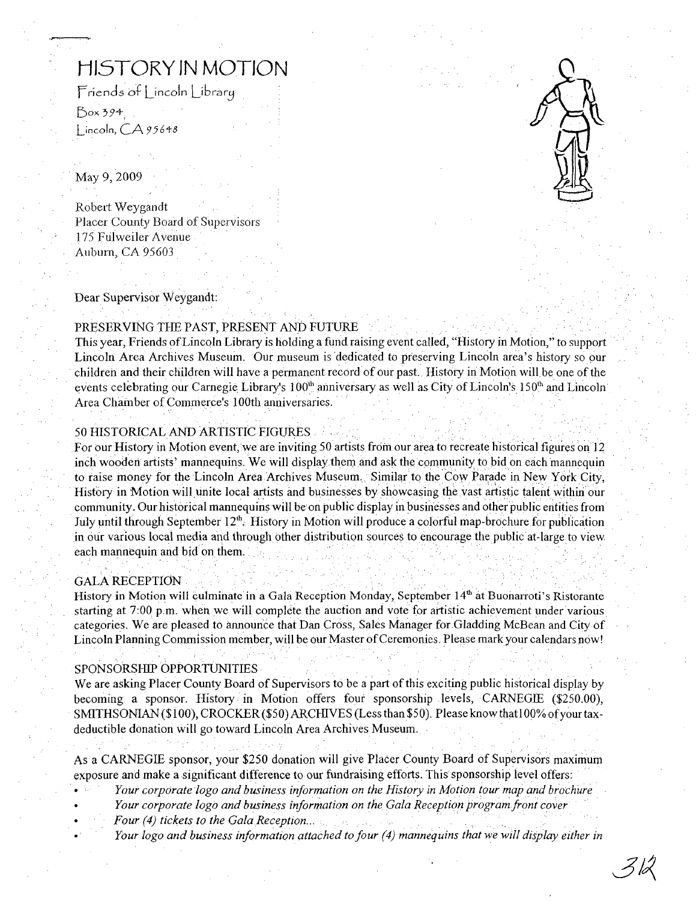# **HISTORY IN MOTION**

Friends of Lincoln Library

 $Box 394$  $line{A95648}$ 

May 9, 2009

Robert Weygandt Placer County Board of Supervisors 175 Fulweiler Avenue Auburn, CA 95603

Dear Supervisor Weygandt:

#### PRESERVING THE PAST, PRESENT AND FUTURE

This year, Friends of Lincoln Library is holding a fund raising event called, "History in Motion," to support Lincoln Area Archives Museum. Our museum is dedicated to preserving Lincoln area's history so our children and their children will have a permanent record of our past. History in Motion will be one of the events celebrating our Carnegie Library's 100<sup>th</sup> anniversary as well as City of Lincoln's 150<sup>th</sup> and Lincoln Area Chamber of Commerce's 100th anniversaries.

#### 50 HISTORICAL AND ARTISTIC FIGURES

For our History in Motion event, we are inviting 50 artists from our area to recreate historical figures on 12 inch wooden artists' mannequins. We will display them and ask the community to bid on each mannequin to raise money for the Lincoln Area Archives Museum. Similar to the Cow Parade in New York City, History in Motion will unite local artists and businesses by showcasing the vast artistic talent within our community. Our historical mannequins will be on public display in businesses and other public entities from July until through September 12<sup>th</sup>. History in Motion will produce a colorful map-brochure for publication in our various local media and through other distribution sources to encourage the public at-large to view each mannequin and bid on them.

#### **GALA RECEPTION**

History in Motion will culminate in a Gala Reception Monday, September 14<sup>th</sup> at Buonarroti's Ristorante starting at 7:00 p.m. when we will complete the auction and vote for artistic achievement under various categories. We are pleased to announce that Dan Cross, Sales Manager for Gladding McBean and City of Lincoln Planning Commission member, will be our Master of Ceremonies. Please mark your calendars now!

#### SPONSORSHIP OPPORTUNITIES

We are asking Placer County Board of Supervisors to be a part of this exciting public historical display by becoming a sponsor. History in Motion offers four sponsorship levels, CARNEGIE (\$250.00), SMITHSONIAN (\$100), CROCKER (\$50) ARCHIVES (Less than \$50). Please know that 100% of your taxdeductible donation will go toward Lincoln Area Archives Museum.

As a CARNEGIE sponsor, your \$250 donation will give Placer County Board of Supervisors maximum exposure and make a significant difference to our fundraising efforts. This sponsorship level offers:

- Your corporate logo and business information on the History in Motion tour map and brochure
	- Your corporate logo and business information on the Gala Reception program front cover
- Four (4) tickets to the Gala Reception...
	- Your logo and business information attached to four (4) mannequins that we will display either in